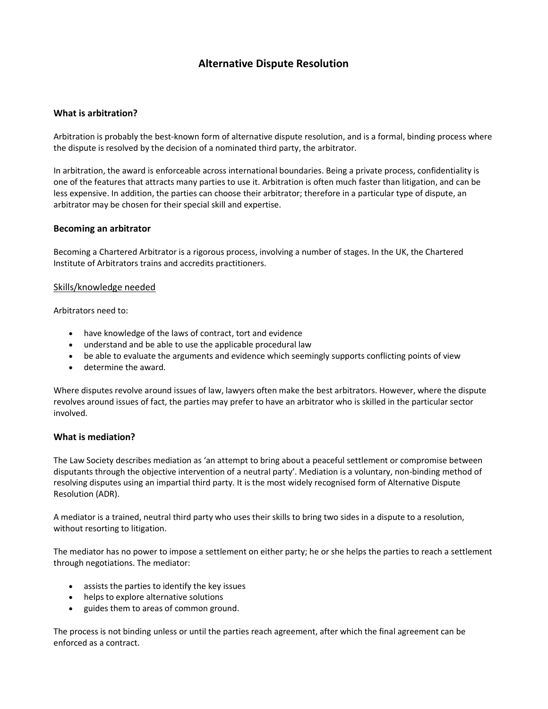# **Alternative Dispute Resolution**

## **What is arbitration?**

Arbitration is probably the best-known form of alternative dispute resolution, and is a formal, binding process where the dispute is resolved by the decision of a nominated third party, the arbitrator.

In arbitration, the award is enforceable across international boundaries. Being a private process, confidentiality is one of the features that attracts many parties to use it. Arbitration is often much faster than litigation, and can be less expensive. In addition, the parties can choose their arbitrator; therefore in a particular type of dispute, an arbitrator may be chosen for their special skill and expertise.

### **Becoming an arbitrator**

Becoming a Chartered Arbitrator is a rigorous process, involving a number of stages. In the UK, the Chartered Institute of Arbitrators trains and accredits practitioners.

#### Skills/knowledge needed

Arbitrators need to:

- have knowledge of the laws of contract, tort and evidence
- understand and be able to use the applicable procedural law
- be able to evaluate the arguments and evidence which seemingly supports conflicting points of view
- determine the award.

Where disputes revolve around issues of law, lawyers often make the best arbitrators. However, where the dispute revolves around issues of fact, the parties may prefer to have an arbitrator who is skilled in the particular sector involved.

### **What is mediation?**

The Law Society describes mediation as 'an attempt to bring about a peaceful settlement or compromise between disputants through the objective intervention of a neutral party'. Mediation is a voluntary, non-binding method of resolving disputes using an impartial third party. It is the most widely recognised form of Alternative Dispute Resolution (ADR).

A mediator is a trained, neutral third party who uses their skills to bring two sides in a dispute to a resolution, without resorting to litigation.

The mediator has no power to impose a settlement on either party; he or she helps the parties to reach a settlement through negotiations. The mediator:

- assists the parties to identify the key issues
- helps to explore alternative solutions
- guides them to areas of common ground.

The process is not binding unless or until the parties reach agreement, after which the final agreement can be enforced as a contract.